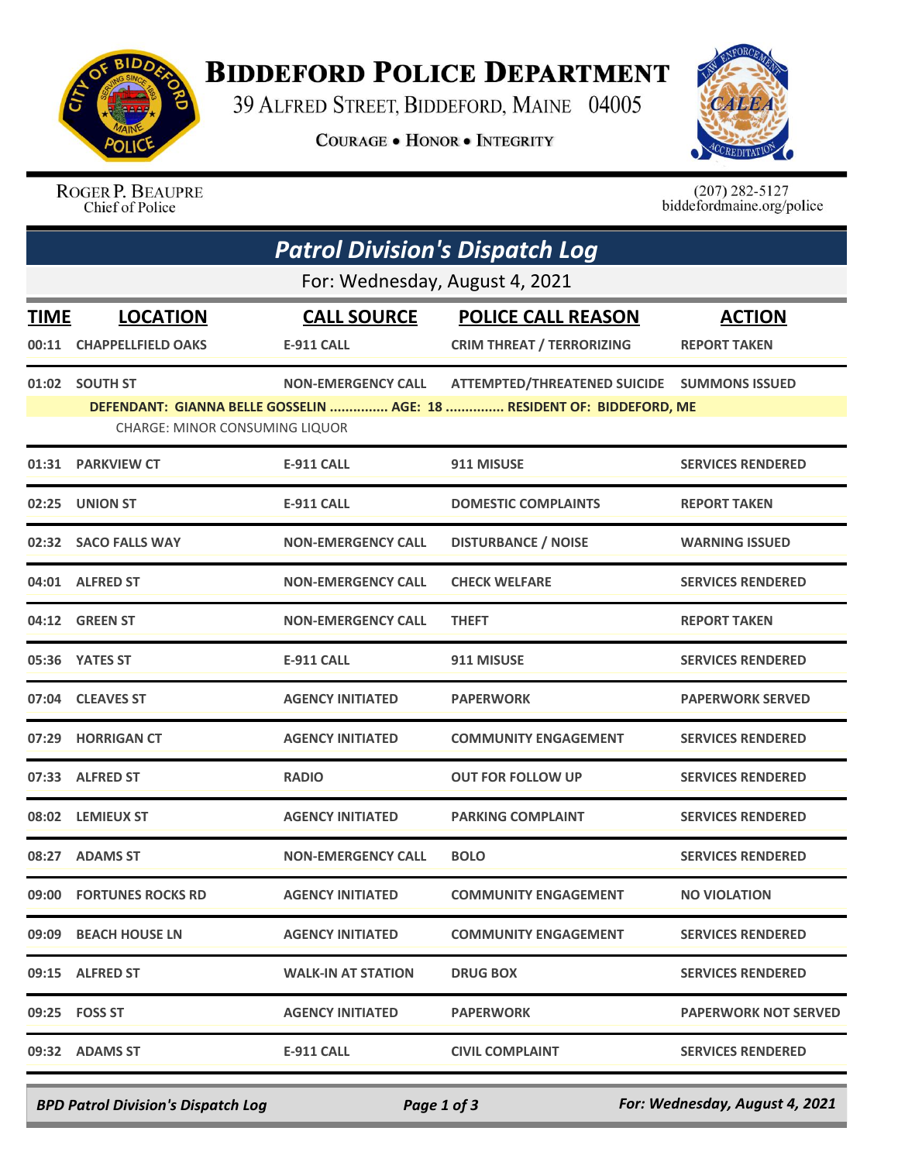

## **BIDDEFORD POLICE DEPARTMENT**

39 ALFRED STREET, BIDDEFORD, MAINE 04005

**COURAGE . HONOR . INTEGRITY** 



ROGER P. BEAUPRE Chief of Police

 $(207)$  282-5127<br>biddefordmaine.org/police

|             | <b>Patrol Division's Dispatch Log</b> |                           |                                                                       |                             |  |  |  |
|-------------|---------------------------------------|---------------------------|-----------------------------------------------------------------------|-----------------------------|--|--|--|
|             | For: Wednesday, August 4, 2021        |                           |                                                                       |                             |  |  |  |
| <b>TIME</b> | <b>LOCATION</b>                       | <b>CALL SOURCE</b>        | <b>POLICE CALL REASON</b>                                             | <b>ACTION</b>               |  |  |  |
|             | 00:11 CHAPPELLFIELD OAKS              | <b>E-911 CALL</b>         | <b>CRIM THREAT / TERRORIZING</b>                                      | <b>REPORT TAKEN</b>         |  |  |  |
|             | 01:02 SOUTH ST                        | <b>NON-EMERGENCY CALL</b> | ATTEMPTED/THREATENED SUICIDE  SUMMONS ISSUED                          |                             |  |  |  |
|             | <b>CHARGE: MINOR CONSUMING LIQUOR</b> |                           | DEFENDANT: GIANNA BELLE GOSSELIN  AGE: 18  RESIDENT OF: BIDDEFORD, ME |                             |  |  |  |
|             | 01:31 PARKVIEW CT                     | <b>E-911 CALL</b>         | 911 MISUSE                                                            | <b>SERVICES RENDERED</b>    |  |  |  |
| 02:25       | <b>UNION ST</b>                       | <b>E-911 CALL</b>         | <b>DOMESTIC COMPLAINTS</b>                                            | <b>REPORT TAKEN</b>         |  |  |  |
|             | 02:32 SACO FALLS WAY                  | <b>NON-EMERGENCY CALL</b> | <b>DISTURBANCE / NOISE</b>                                            | <b>WARNING ISSUED</b>       |  |  |  |
|             | 04:01 ALFRED ST                       | <b>NON-EMERGENCY CALL</b> | <b>CHECK WELFARE</b>                                                  | <b>SERVICES RENDERED</b>    |  |  |  |
|             | 04:12 GREEN ST                        | <b>NON-EMERGENCY CALL</b> | <b>THEFT</b>                                                          | <b>REPORT TAKEN</b>         |  |  |  |
|             | 05:36 YATES ST                        | <b>E-911 CALL</b>         | 911 MISUSE                                                            | <b>SERVICES RENDERED</b>    |  |  |  |
|             | 07:04 CLEAVES ST                      | <b>AGENCY INITIATED</b>   | <b>PAPERWORK</b>                                                      | <b>PAPERWORK SERVED</b>     |  |  |  |
| 07:29       | <b>HORRIGAN CT</b>                    | <b>AGENCY INITIATED</b>   | <b>COMMUNITY ENGAGEMENT</b>                                           | <b>SERVICES RENDERED</b>    |  |  |  |
|             | 07:33 ALFRED ST                       | <b>RADIO</b>              | <b>OUT FOR FOLLOW UP</b>                                              | <b>SERVICES RENDERED</b>    |  |  |  |
| 08:02       | <b>LEMIEUX ST</b>                     | <b>AGENCY INITIATED</b>   | <b>PARKING COMPLAINT</b>                                              | <b>SERVICES RENDERED</b>    |  |  |  |
| 08:27       | <b>ADAMS ST</b>                       | <b>NON-EMERGENCY CALL</b> | <b>BOLO</b>                                                           | <b>SERVICES RENDERED</b>    |  |  |  |
|             | 09:00 FORTUNES ROCKS RD               | <b>AGENCY INITIATED</b>   | <b>COMMUNITY ENGAGEMENT</b>                                           | <b>NO VIOLATION</b>         |  |  |  |
|             | 09:09 BEACH HOUSE LN                  | <b>AGENCY INITIATED</b>   | <b>COMMUNITY ENGAGEMENT</b>                                           | <b>SERVICES RENDERED</b>    |  |  |  |
|             | 09:15 ALFRED ST                       | <b>WALK-IN AT STATION</b> | <b>DRUG BOX</b>                                                       | <b>SERVICES RENDERED</b>    |  |  |  |
|             | 09:25 FOSS ST                         | <b>AGENCY INITIATED</b>   | <b>PAPERWORK</b>                                                      | <b>PAPERWORK NOT SERVED</b> |  |  |  |
|             | 09:32 ADAMS ST                        | <b>E-911 CALL</b>         | <b>CIVIL COMPLAINT</b>                                                | <b>SERVICES RENDERED</b>    |  |  |  |

*BPD Patrol Division's Dispatch Log Page 1 of 3 For: Wednesday, August 4, 2021*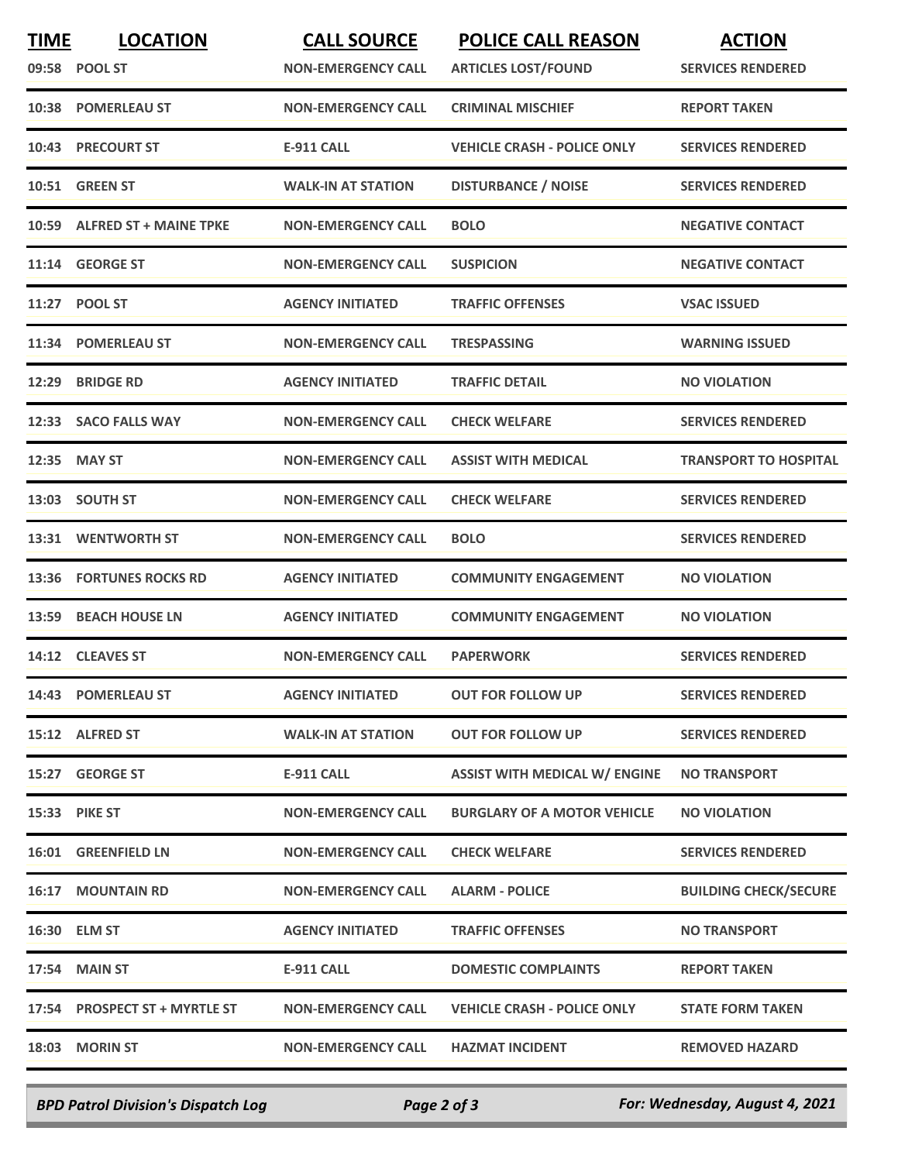| <b>TIME</b> | <b>LOCATION</b><br>09:58 POOL ST | <b>CALL SOURCE</b><br><b>NON-EMERGENCY CALL</b> | <b>POLICE CALL REASON</b><br><b>ARTICLES LOST/FOUND</b> | <b>ACTION</b><br><b>SERVICES RENDERED</b> |
|-------------|----------------------------------|-------------------------------------------------|---------------------------------------------------------|-------------------------------------------|
| 10:38       | <b>POMERLEAU ST</b>              | <b>NON-EMERGENCY CALL</b>                       | <b>CRIMINAL MISCHIEF</b>                                | <b>REPORT TAKEN</b>                       |
| 10:43       | <b>PRECOURT ST</b>               | <b>E-911 CALL</b>                               | <b>VEHICLE CRASH - POLICE ONLY</b>                      | <b>SERVICES RENDERED</b>                  |
| 10:51       | <b>GREEN ST</b>                  | <b>WALK-IN AT STATION</b>                       | <b>DISTURBANCE / NOISE</b>                              | <b>SERVICES RENDERED</b>                  |
| 10:59       | <b>ALFRED ST + MAINE TPKE</b>    | <b>NON-EMERGENCY CALL</b>                       | <b>BOLO</b>                                             | <b>NEGATIVE CONTACT</b>                   |
| 11:14       | <b>GEORGE ST</b>                 | <b>NON-EMERGENCY CALL</b>                       | <b>SUSPICION</b>                                        | <b>NEGATIVE CONTACT</b>                   |
| 11:27       | <b>POOL ST</b>                   | <b>AGENCY INITIATED</b>                         | <b>TRAFFIC OFFENSES</b>                                 | <b>VSAC ISSUED</b>                        |
| 11:34       | <b>POMERLEAU ST</b>              | <b>NON-EMERGENCY CALL</b>                       | <b>TRESPASSING</b>                                      | <b>WARNING ISSUED</b>                     |
| 12:29       | <b>BRIDGE RD</b>                 | <b>AGENCY INITIATED</b>                         | <b>TRAFFIC DETAIL</b>                                   | <b>NO VIOLATION</b>                       |
|             | 12:33 SACO FALLS WAY             | <b>NON-EMERGENCY CALL</b>                       | <b>CHECK WELFARE</b>                                    | <b>SERVICES RENDERED</b>                  |
| 12:35       | <b>MAY ST</b>                    | <b>NON-EMERGENCY CALL</b>                       | <b>ASSIST WITH MEDICAL</b>                              | <b>TRANSPORT TO HOSPITAL</b>              |
| 13:03       | <b>SOUTH ST</b>                  | <b>NON-EMERGENCY CALL</b>                       | <b>CHECK WELFARE</b>                                    | <b>SERVICES RENDERED</b>                  |
| 13:31       | <b>WENTWORTH ST</b>              | <b>NON-EMERGENCY CALL</b>                       | <b>BOLO</b>                                             | <b>SERVICES RENDERED</b>                  |
| 13:36       | <b>FORTUNES ROCKS RD</b>         | <b>AGENCY INITIATED</b>                         | <b>COMMUNITY ENGAGEMENT</b>                             | <b>NO VIOLATION</b>                       |
| 13:59       | <b>BEACH HOUSE LN</b>            | <b>AGENCY INITIATED</b>                         | <b>COMMUNITY ENGAGEMENT</b>                             | <b>NO VIOLATION</b>                       |
| 14:12       | <b>CLEAVES ST</b>                | <b>NON-EMERGENCY CALL</b>                       | <b>PAPERWORK</b>                                        | <b>SERVICES RENDERED</b>                  |
|             | 14:43 POMERLEAU ST               | <b>AGENCY INITIATED</b>                         | <b>OUT FOR FOLLOW UP</b>                                | <b>SERVICES RENDERED</b>                  |
|             | 15:12 ALFRED ST                  | <b>WALK-IN AT STATION</b>                       | <b>OUT FOR FOLLOW UP</b>                                | <b>SERVICES RENDERED</b>                  |
|             | 15:27 GEORGE ST                  | <b>E-911 CALL</b>                               | <b>ASSIST WITH MEDICAL W/ ENGINE</b>                    | <b>NO TRANSPORT</b>                       |
|             | <b>15:33 PIKE ST</b>             | <b>NON-EMERGENCY CALL</b>                       | <b>BURGLARY OF A MOTOR VEHICLE</b>                      | <b>NO VIOLATION</b>                       |
|             | 16:01 GREENFIELD LN              | <b>NON-EMERGENCY CALL</b>                       | <b>CHECK WELFARE</b>                                    | <b>SERVICES RENDERED</b>                  |
|             | <b>16:17 MOUNTAIN RD</b>         | <b>NON-EMERGENCY CALL</b>                       | <b>ALARM - POLICE</b>                                   | <b>BUILDING CHECK/SECURE</b>              |
|             | 16:30 ELM ST                     | <b>AGENCY INITIATED</b>                         | <b>TRAFFIC OFFENSES</b>                                 | <b>NO TRANSPORT</b>                       |
|             | 17:54 MAIN ST                    | <b>E-911 CALL</b>                               | <b>DOMESTIC COMPLAINTS</b>                              | <b>REPORT TAKEN</b>                       |
|             | 17:54 PROSPECT ST + MYRTLE ST    | <b>NON-EMERGENCY CALL</b>                       | <b>VEHICLE CRASH - POLICE ONLY</b>                      | <b>STATE FORM TAKEN</b>                   |
|             | 18:03 MORIN ST                   | <b>NON-EMERGENCY CALL</b>                       | <b>HAZMAT INCIDENT</b>                                  | <b>REMOVED HAZARD</b>                     |

*BPD Patrol Division's Dispatch Log Page 2 of 3 For: Wednesday, August 4, 2021*